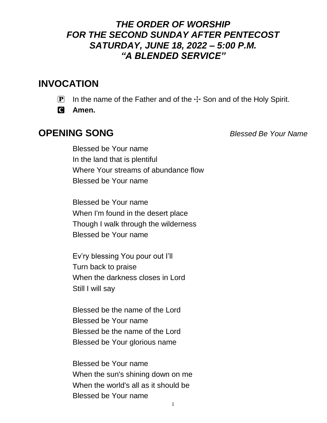#### *THE ORDER OF WORSHIP FOR THE SECOND SUNDAY AFTER PENTECOST SATURDAY, JUNE 18, 2022 – 5:00 P.M. "A BLENDED SERVICE"*

## **INVOCATION**

- **P** In the name of the Father and of the  $\pm$  Son and of the Holy Spirit.
- C **Amen.**

#### **OPENING SONG** *Blessed Be Your Name*

Blessed be Your name In the land that is plentiful Where Your streams of abundance flow Blessed be Your name

Blessed be Your name When I'm found in the desert place Though I walk through the wilderness Blessed be Your name

Ev'ry blessing You pour out I'll Turn back to praise When the darkness closes in Lord Still I will say

Blessed be the name of the Lord Blessed be Your name Blessed be the name of the Lord Blessed be Your glorious name

Blessed be Your name When the sun's shining down on me When the world's all as it should be Blessed be Your name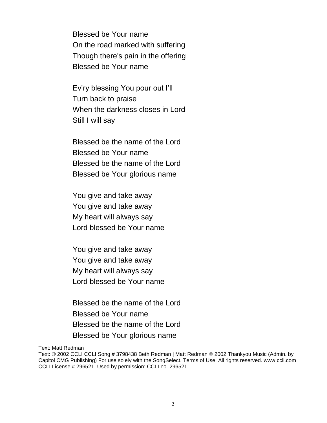Blessed be Your name On the road marked with suffering Though there's pain in the offering Blessed be Your name

Ev'ry blessing You pour out I'll Turn back to praise When the darkness closes in Lord Still I will say

Blessed be the name of the Lord Blessed be Your name Blessed be the name of the Lord Blessed be Your glorious name

You give and take away You give and take away My heart will always say Lord blessed be Your name

You give and take away You give and take away My heart will always say Lord blessed be Your name

Blessed be the name of the Lord Blessed be Your name Blessed be the name of the Lord Blessed be Your glorious name

Text: Matt Redman

Text: © 2002 CCLI CCLI Song # 3798438 Beth Redman | Matt Redman © 2002 Thankyou Music (Admin. by Capitol CMG Publishing) For use solely with the SongSelect. Terms of Use. All rights reserved. www.ccli.com CCLI License # 296521. Used by permission: CCLI no. 296521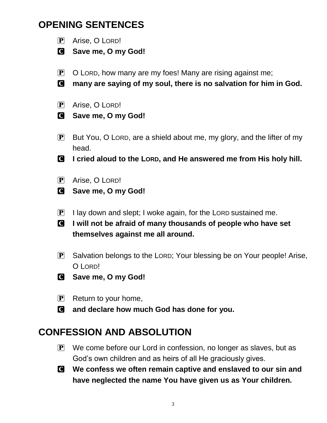## **OPENING SENTENCES**



- C **Save me, O my God!**
- $\mathbf{P}$  O LORD, how many are my foes! Many are rising against me;
- C **many are saying of my soul, there is no salvation for him in God.**
- P Arise, O LORD!
- C **Save me, O my God!**
- $\mathbf{P}$  But You, O LORD, are a shield about me, my glory, and the lifter of my head.
- C **I cried aloud to the LORD, and He answered me from His holy hill.**
- P Arise, O LORD!
- C **Save me, O my God!**
- $\left| \mathbf{P} \right|$  I lay down and slept; I woke again, for the LORD sustained me.
- C **I will not be afraid of many thousands of people who have set themselves against me all around.**
- P Salvation belongs to the LORD; Your blessing be on Your people! Arise, O LORD!
- C **Save me, O my God!**
- $\mathbf{P}$  Return to your home,
- C **and declare how much God has done for you.**

## **CONFESSION AND ABSOLUTION**

- $\mathbf{P}$  We come before our Lord in confession, no longer as slaves, but as God's own children and as heirs of all He graciously gives.
- C **We confess we often remain captive and enslaved to our sin and have neglected the name You have given us as Your children.**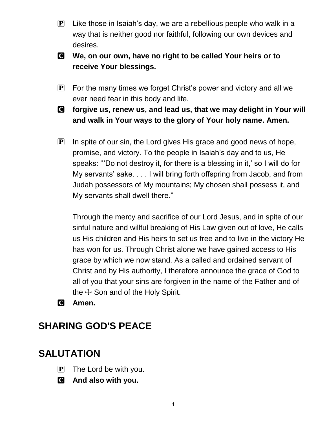- $\mathbf{P}$  Like those in Isaiah's day, we are a rebellious people who walk in a way that is neither good nor faithful, following our own devices and desires.
- C **We, on our own, have no right to be called Your heirs or to receive Your blessings.**
- $\mathbf{P}$  For the many times we forget Christ's power and victory and all we ever need fear in this body and life,
- C **forgive us, renew us, and lead us, that we may delight in Your will and walk in Your ways to the glory of Your holy name. Amen.**
- $\mathbf{P}$  In spite of our sin, the Lord gives His grace and good news of hope, promise, and victory. To the people in Isaiah's day and to us, He speaks: " 'Do not destroy it, for there is a blessing in it,' so I will do for My servants' sake. . . . I will bring forth offspring from Jacob, and from Judah possessors of My mountains; My chosen shall possess it, and My servants shall dwell there."

Through the mercy and sacrifice of our Lord Jesus, and in spite of our sinful nature and willful breaking of His Law given out of love, He calls us His children and His heirs to set us free and to live in the victory He has won for us. Through Christ alone we have gained access to His grace by which we now stand. As a called and ordained servant of Christ and by His authority, I therefore announce the grace of God to all of you that your sins are forgiven in the name of the Father and of the  $H$  Son and of the Holy Spirit.

C **Amen.**

## **SHARING GOD'S PEACE**

## **SALUTATION**

- $\mathbf{P}$  The Lord be with you.
- C **And also with you.**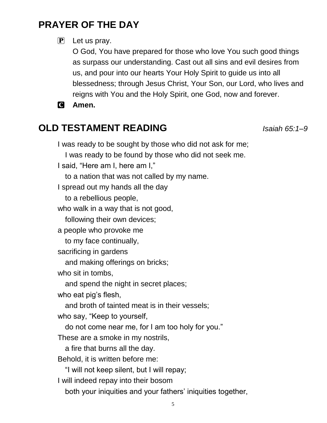## **PRAYER OF THE DAY**

#### $\left[ \mathbf{P} \right]$  Let us pray.

O God, You have prepared for those who love You such good things as surpass our understanding. Cast out all sins and evil desires from us, and pour into our hearts Your Holy Spirit to guide us into all blessedness; through Jesus Christ, Your Son, our Lord, who lives and reigns with You and the Holy Spirit, one God, now and forever.

C **Amen.**

# **OLD TESTAMENT READING** *Isaiah 65:1–9*

I was ready to be sought by those who did not ask for me;

I was ready to be found by those who did not seek me.

I said, "Here am I, here am I,"

to a nation that was not called by my name.

I spread out my hands all the day

to a rebellious people,

who walk in a way that is not good,

following their own devices;

a people who provoke me

to my face continually,

sacrificing in gardens

and making offerings on bricks;

who sit in tombs,

and spend the night in secret places;

who eat pig's flesh,

and broth of tainted meat is in their vessels;

who say, "Keep to yourself,

do not come near me, for I am too holy for you."

These are a smoke in my nostrils,

a fire that burns all the day.

Behold, it is written before me:

"I will not keep silent, but I will repay;

I will indeed repay into their bosom

both your iniquities and your fathers' iniquities together,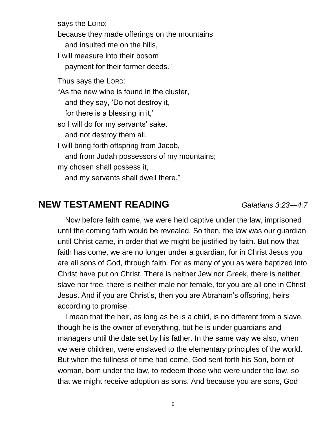says the LORD; because they made offerings on the mountains and insulted me on the hills, I will measure into their bosom payment for their former deeds." Thus says the LORD: "As the new wine is found in the cluster, and they say, 'Do not destroy it, for there is a blessing in it,' so I will do for my servants' sake, and not destroy them all. I will bring forth offspring from Jacob, and from Judah possessors of my mountains; my chosen shall possess it, and my servants shall dwell there."

#### **NEW TESTAMENT READING** *Galatians 3:23—4:7*

Now before faith came, we were held captive under the law, imprisoned until the coming faith would be revealed. So then, the law was our guardian until Christ came, in order that we might be justified by faith. But now that faith has come, we are no longer under a guardian, for in Christ Jesus you are all sons of God, through faith. For as many of you as were baptized into Christ have put on Christ. There is neither Jew nor Greek, there is neither slave nor free, there is neither male nor female, for you are all one in Christ Jesus. And if you are Christ's, then you are Abraham's offspring, heirs according to promise.

I mean that the heir, as long as he is a child, is no different from a slave, though he is the owner of everything, but he is under guardians and managers until the date set by his father. In the same way we also, when we were children, were enslaved to the elementary principles of the world. But when the fullness of time had come, God sent forth his Son, born of woman, born under the law, to redeem those who were under the law, so that we might receive adoption as sons. And because you are sons, God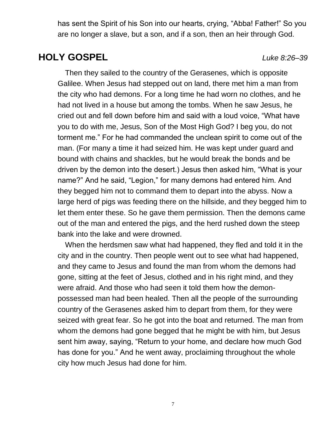has sent the Spirit of his Son into our hearts, crying, "Abba! Father!" So you are no longer a slave, but a son, and if a son, then an heir through God.

## **HOLY GOSPEL** *Luke 8:26–39*

Then they sailed to the country of the Gerasenes, which is opposite Galilee. When Jesus had stepped out on land, there met him a man from the city who had demons. For a long time he had worn no clothes, and he had not lived in a house but among the tombs. When he saw Jesus, he cried out and fell down before him and said with a loud voice, "What have you to do with me, Jesus, Son of the Most High God? I beg you, do not torment me." For he had commanded the unclean spirit to come out of the man. (For many a time it had seized him. He was kept under guard and bound with chains and shackles, but he would break the bonds and be driven by the demon into the desert.) Jesus then asked him, "What is your name?" And he said, "Legion," for many demons had entered him. And they begged him not to command them to depart into the abyss. Now a large herd of pigs was feeding there on the hillside, and they begged him to let them enter these. So he gave them permission. Then the demons came out of the man and entered the pigs, and the herd rushed down the steep bank into the lake and were drowned.

When the herdsmen saw what had happened, they fled and told it in the city and in the country. Then people went out to see what had happened, and they came to Jesus and found the man from whom the demons had gone, sitting at the feet of Jesus, clothed and in his right mind, and they were afraid. And those who had seen it told them how the demonpossessed man had been healed. Then all the people of the surrounding country of the Gerasenes asked him to depart from them, for they were seized with great fear. So he got into the boat and returned. The man from whom the demons had gone begged that he might be with him, but Jesus sent him away, saying, "Return to your home, and declare how much God has done for you." And he went away, proclaiming throughout the whole city how much Jesus had done for him.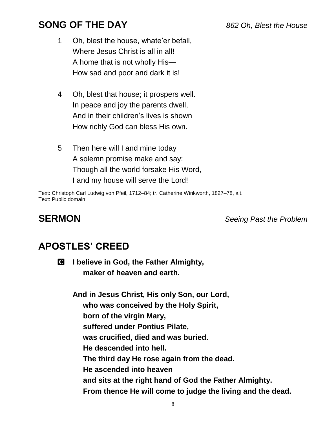## **SONG OF THE DAY** *862 Oh, Blest the House*

- 1 Oh, blest the house, whate'er befall, Where Jesus Christ is all in all! A home that is not wholly His— How sad and poor and dark it is!
- 4 Oh, blest that house; it prospers well. In peace and joy the parents dwell, And in their children's lives is shown How richly God can bless His own.
- 5 Then here will I and mine today A solemn promise make and say: Though all the world forsake His Word, I and my house will serve the Lord!

Text: Christoph Carl Ludwig von Pfeil, 1712–84; tr. Catherine Winkworth, 1827–78, alt. Text: Public domain

**SERMON** *Seeing Past the Problem*

## **APOSTLES' CREED**

C **I believe in God, the Father Almighty, maker of heaven and earth.**

**And in Jesus Christ, His only Son, our Lord, who was conceived by the Holy Spirit, born of the virgin Mary, suffered under Pontius Pilate, was crucified, died and was buried. He descended into hell. The third day He rose again from the dead. He ascended into heaven and sits at the right hand of God the Father Almighty. From thence He will come to judge the living and the dead.**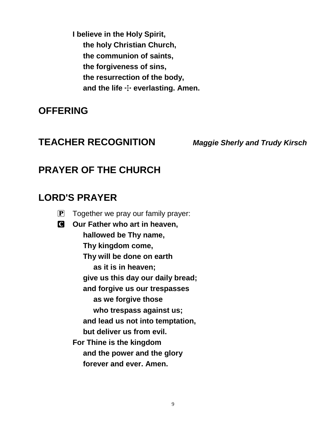**I believe in the Holy Spirit, the holy Christian Church, the communion of saints, the forgiveness of sins, the resurrection of the body,** and the life  $\div$  everlasting. Amen.

#### **OFFERING**

#### **TEACHER RECOGNITION** *Maggie Sherly and Trudy Kirsch*

#### **PRAYER OF THE CHURCH**

#### **LORD'S PRAYER**

- $\boxed{\mathbf{P}}$  Together we pray our family prayer:
- C **Our Father who art in heaven, hallowed be Thy name, Thy kingdom come, Thy will be done on earth as it is in heaven; give us this day our daily bread; and forgive us our trespasses as we forgive those who trespass against us; and lead us not into temptation, but deliver us from evil. For Thine is the kingdom and the power and the glory forever and ever. Amen.**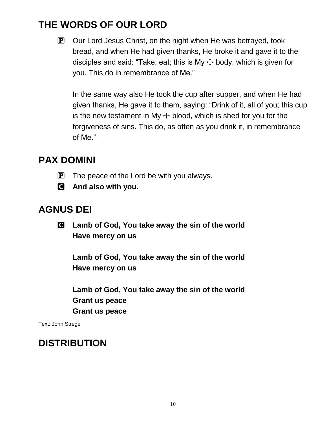## **THE WORDS OF OUR LORD**

 $\mathbf{P}$  Our Lord Jesus Christ, on the night when He was betrayed, took bread, and when He had given thanks, He broke it and gave it to the disciples and said: "Take, eat; this is My  $\pm$  body, which is given for you. This do in remembrance of Me."

In the same way also He took the cup after supper, and when He had given thanks, He gave it to them, saying: "Drink of it, all of you; this cup is the new testament in My  $\pm$  blood, which is shed for you for the forgiveness of sins. This do, as often as you drink it, in remembrance of Me."

## **PAX DOMINI**

- $\mathbf{P}$  The peace of the Lord be with you always.
- C **And also with you.**

## **AGNUS DEI**

C **Lamb of God, You take away the sin of the world Have mercy on us**

**Lamb of God, You take away the sin of the world Have mercy on us**

**Lamb of God, You take away the sin of the world Grant us peace Grant us peace**

Text: John Strege

## **DISTRIBUTION**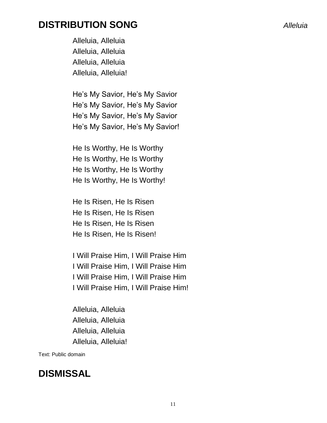#### **DISTRIBUTION SONG** *Alleluia*

Alleluia, Alleluia Alleluia, Alleluia Alleluia, Alleluia Alleluia, Alleluia!

He's My Savior, He's My Savior He's My Savior, He's My Savior He's My Savior, He's My Savior He's My Savior, He's My Savior!

He Is Worthy, He Is Worthy He Is Worthy, He Is Worthy He Is Worthy, He Is Worthy He Is Worthy, He Is Worthy!

He Is Risen, He Is Risen He Is Risen, He Is Risen He Is Risen, He Is Risen He Is Risen, He Is Risen!

I Will Praise Him, I Will Praise Him I Will Praise Him, I Will Praise Him I Will Praise Him, I Will Praise Him I Will Praise Him, I Will Praise Him!

Alleluia, Alleluia Alleluia, Alleluia Alleluia, Alleluia Alleluia, Alleluia!

Text: Public domain

## **DISMISSAL**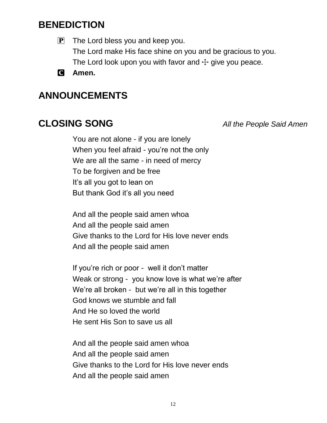## **BENEDICTION**

 $\mathbf{P}$  The Lord bless you and keep you. The Lord make His face shine on you and be gracious to you. The Lord look upon you with favor and  $\pm$  give you peace.

C **Amen.**

## **ANNOUNCEMENTS**

**CLOSING SONG** *All the People Said Amen*

You are not alone - if you are lonely When you feel afraid - you're not the only We are all the same - in need of mercy To be forgiven and be free It's all you got to lean on But thank God it's all you need

And all the people said amen whoa And all the people said amen Give thanks to the Lord for His love never ends And all the people said amen

If you're rich or poor - well it don't matter Weak or strong - you know love is what we're after We're all broken - but we're all in this together God knows we stumble and fall And He so loved the world He sent His Son to save us all

And all the people said amen whoa And all the people said amen Give thanks to the Lord for His love never ends And all the people said amen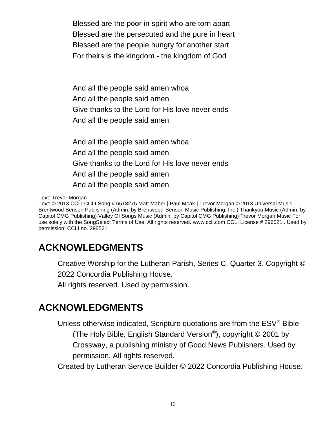Blessed are the poor in spirit who are torn apart Blessed are the persecuted and the pure in heart Blessed are the people hungry for another start For theirs is the kingdom - the kingdom of God

And all the people said amen whoa And all the people said amen Give thanks to the Lord for His love never ends And all the people said amen

And all the people said amen whoa And all the people said amen Give thanks to the Lord for His love never ends And all the people said amen And all the people said amen

Text: Trevor Morgan

Text: © 2013 CCLI CCLI Song # 6518275 Matt Maher | Paul Moak | Trevor Morgan © 2013 Universal Music - Brentwood Benson Publishing (Admin. by Brentwood-Benson Music Publishing, Inc.) Thankyou Music (Admin. by Capitol CMG Publishing) Valley Of Songs Music (Admin. by Capitol CMG Publishing) Trevor Morgan Music For use solely with the SongSelect Terms of Use. All rights reserved. www.ccli.com CCLI License # 296521 . Used by permission: CCLI no. 296521

# **ACKNOWLEDGMENTS**

Creative Worship for the Lutheran Parish, Series C, Quarter 3. Copyright ©

2022 Concordia Publishing House.

All rights reserved. Used by permission.

## **ACKNOWLEDGMENTS**

Unless otherwise indicated, Scripture quotations are from the ESV® Bible (The Holy Bible, English Standard Version® ), copyright © 2001 by Crossway, a publishing ministry of Good News Publishers. Used by permission. All rights reserved.

Created by Lutheran Service Builder © 2022 Concordia Publishing House.